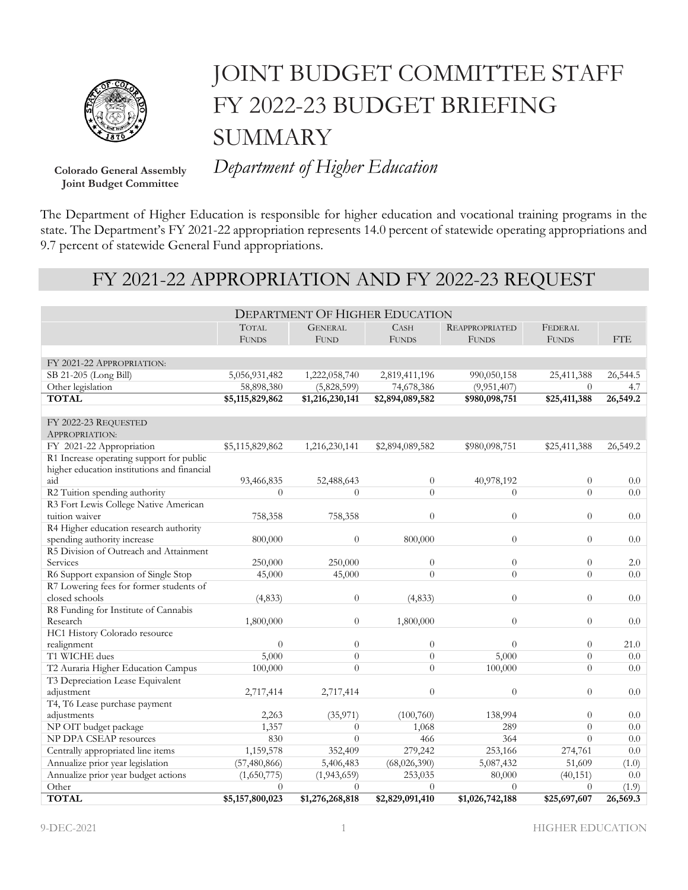

# JOINT BUDGET COMMITTEE STAFF FY 2022-23 BUDGET BRIEFING SUMMARY

**Joint Budget Committee**

**Colorado General Assembly** *Department of Higher Education*

The Department of Higher Education is responsible for higher education and vocational training programs in the state. The Department's FY 2021-22 appropriation represents 14.0 percent of statewide operating appropriations and 9.7 percent of statewide General Fund appropriations.

## FY 2021-22 APPROPRIATION AND FY 2022-23 REQUEST

| <b>DEPARTMENT OF HIGHER EDUCATION</b>       |                 |                 |                 |                       |              |            |
|---------------------------------------------|-----------------|-----------------|-----------------|-----------------------|--------------|------------|
|                                             | <b>TOTAL</b>    | <b>GENERAL</b>  | <b>CASH</b>     | <b>REAPPROPRIATED</b> | FEDERAL      |            |
|                                             | <b>FUNDS</b>    | FUND            | <b>FUNDS</b>    | <b>FUNDS</b>          | <b>FUNDS</b> | <b>FTE</b> |
|                                             |                 |                 |                 |                       |              |            |
| FY 2021-22 APPROPRIATION:                   |                 |                 |                 |                       |              |            |
| SB 21-205 (Long Bill)                       | 5,056,931,482   | 1,222,058,740   | 2,819,411,196   | 990,050,158           | 25,411,388   | 26,544.5   |
| Other legislation                           | 58,898,380      | (5,828,599)     | 74,678,386      | (9,951,407)           | $\Omega$     | 4.7        |
| <b>TOTAL</b>                                | \$5,115,829,862 | \$1,216,230,141 | \$2,894,089,582 | \$980,098,751         | \$25,411,388 | 26,549.2   |
|                                             |                 |                 |                 |                       |              |            |
| FY 2022-23 REQUESTED                        |                 |                 |                 |                       |              |            |
| APPROPRIATION:                              |                 |                 |                 |                       |              |            |
| FY 2021-22 Appropriation                    | \$5,115,829,862 | 1,216,230,141   | \$2,894,089,582 | \$980,098,751         | \$25,411,388 | 26,549.2   |
| R1 Increase operating support for public    |                 |                 |                 |                       |              |            |
| higher education institutions and financial |                 |                 |                 |                       |              |            |
| aid                                         | 93,466,835      | 52,488,643      | $\overline{0}$  | 40,978,192            | $\theta$     | 0.0        |
| R2 Tuition spending authority               | $\overline{0}$  | $\theta$        | $\overline{0}$  | $\theta$              | $\Omega$     | 0.0        |
| R3 Fort Lewis College Native American       |                 |                 |                 |                       |              |            |
| tuition waiver                              | 758,358         | 758,358         | $\overline{0}$  | $\theta$              | $\theta$     | 0.0        |
| R4 Higher education research authority      |                 |                 |                 |                       |              |            |
| spending authority increase                 | 800,000         | $\theta$        | 800,000         | $\theta$              | $\theta$     | 0.0        |
| R5 Division of Outreach and Attainment      |                 |                 |                 |                       |              |            |
| Services                                    | 250,000         | 250,000         | $\overline{0}$  | $\theta$              | $\theta$     | 2.0        |
| R6 Support expansion of Single Stop         | 45,000          | 45,000          | $\overline{0}$  | $\theta$              | $\Omega$     | 0.0        |
| R7 Lowering fees for former students of     |                 |                 |                 |                       |              |            |
| closed schools                              | (4, 833)        | $\overline{0}$  | (4, 833)        | $\theta$              | $\theta$     | 0.0        |
| R8 Funding for Institute of Cannabis        |                 |                 |                 |                       |              |            |
| Research                                    | 1,800,000       | $\overline{0}$  | 1,800,000       | $\theta$              | $\theta$     | 0.0        |
| HC1 History Colorado resource               |                 |                 |                 |                       |              |            |
| realignment                                 | $\overline{0}$  | $\overline{0}$  | $\overline{0}$  | $\theta$              | $\theta$     | 21.0       |
| T1 WICHE dues                               | 5,000           | $\theta$        | $\overline{0}$  | 5,000                 | $\theta$     | 0.0        |
| T2 Auraria Higher Education Campus          | 100,000         | $\overline{0}$  | $\Omega$        | 100,000               | $\Omega$     | 0.0        |
| T3 Depreciation Lease Equivalent            |                 |                 |                 |                       |              |            |
| adjustment                                  | 2,717,414       | 2,717,414       | $\overline{0}$  | $\theta$              | $\theta$     | 0.0        |
| T4, T6 Lease purchase payment               |                 |                 |                 |                       |              |            |
| adjustments                                 | 2,263           | (35, 971)       | (100, 760)      | 138,994               | $\theta$     | 0.0        |
| NP OIT budget package                       | 1,357           | $\theta$        | 1,068           | 289                   | $\theta$     | 0.0        |
| NP DPA CSEAP resources                      | 830             | $\theta$        | 466             | 364                   | $\theta$     | 0.0        |
| Centrally appropriated line items           | 1,159,578       | 352,409         | 279,242         | 253,166               | 274,761      | 0.0        |
| Annualize prior year legislation            | (57, 480, 866)  | 5,406,483       | (68,026,390)    | 5,087,432             | 51,609       | (1.0)      |
| Annualize prior year budget actions         | (1,650,775)     | (1,943,659)     | 253,035         | 80,000                | (40, 151)    | 0.0        |
| Other                                       | $\overline{0}$  | $\theta$        | $\overline{0}$  | $\theta$              | $\theta$     | (1.9)      |
| <b>TOTAL</b>                                | \$5,157,800,023 | \$1,276,268,818 | \$2,829,091,410 | \$1,026,742,188       | \$25,697,607 | 26,569.3   |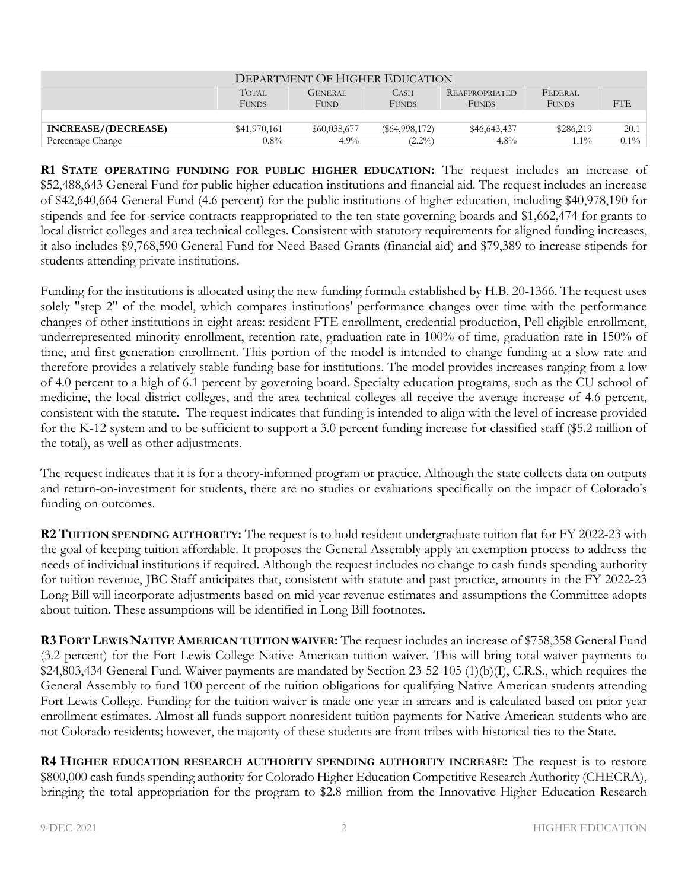| DEPARTMENT OF HIGHER EDUCATION |                       |                               |                             |                                |                         |         |
|--------------------------------|-----------------------|-------------------------------|-----------------------------|--------------------------------|-------------------------|---------|
|                                | TOTAL<br><b>FUNDS</b> | <b>GENERAL</b><br><b>FUND</b> | <b>CASH</b><br><b>FUNDS</b> | REAPPROPRIATED<br><b>FUNDS</b> | FEDERAL<br><b>FUNDS</b> | FTE     |
| INCREASE/(DECREASE)            | \$41,970,161          | \$60,038,677                  | $(\$64,998,172)$            | \$46,643,437                   | \$286,219               | 20.1    |
| Percentage Change              | $0.8\%$               | $4.9\%$                       | $(2.2\%)$                   | $4.8\%$                        | $1.1\%$                 | $0.1\%$ |

**R1 STATE OPERATING FUNDING FOR PUBLIC HIGHER EDUCATION:** The request includes an increase of \$52,488,643 General Fund for public higher education institutions and financial aid. The request includes an increase of \$42,640,664 General Fund (4.6 percent) for the public institutions of higher education, including \$40,978,190 for stipends and fee-for-service contracts reappropriated to the ten state governing boards and \$1,662,474 for grants to local district colleges and area technical colleges. Consistent with statutory requirements for aligned funding increases, it also includes \$9,768,590 General Fund for Need Based Grants (financial aid) and \$79,389 to increase stipends for students attending private institutions.

Funding for the institutions is allocated using the new funding formula established by H.B. 20-1366. The request uses solely "step 2" of the model, which compares institutions' performance changes over time with the performance changes of other institutions in eight areas: resident FTE enrollment, credential production, Pell eligible enrollment, underrepresented minority enrollment, retention rate, graduation rate in 100% of time, graduation rate in 150% of time, and first generation enrollment. This portion of the model is intended to change funding at a slow rate and therefore provides a relatively stable funding base for institutions. The model provides increases ranging from a low of 4.0 percent to a high of 6.1 percent by governing board. Specialty education programs, such as the CU school of medicine, the local district colleges, and the area technical colleges all receive the average increase of 4.6 percent, consistent with the statute. The request indicates that funding is intended to align with the level of increase provided for the K-12 system and to be sufficient to support a 3.0 percent funding increase for classified staff (\$5.2 million of the total), as well as other adjustments.

The request indicates that it is for a theory-informed program or practice. Although the state collects data on outputs and return-on-investment for students, there are no studies or evaluations specifically on the impact of Colorado's funding on outcomes.

**R2 TUITION SPENDING AUTHORITY:** The request is to hold resident undergraduate tuition flat for FY 2022-23 with the goal of keeping tuition affordable. It proposes the General Assembly apply an exemption process to address the needs of individual institutions if required. Although the request includes no change to cash funds spending authority for tuition revenue, JBC Staff anticipates that, consistent with statute and past practice, amounts in the FY 2022-23 Long Bill will incorporate adjustments based on mid-year revenue estimates and assumptions the Committee adopts about tuition. These assumptions will be identified in Long Bill footnotes.

**R3 FORT LEWIS NATIVE AMERICAN TUITION WAIVER:** The request includes an increase of \$758,358 General Fund (3.2 percent) for the Fort Lewis College Native American tuition waiver. This will bring total waiver payments to \$24,803,434 General Fund. Waiver payments are mandated by Section 23-52-105 (1)(b)(I), C.R.S., which requires the General Assembly to fund 100 percent of the tuition obligations for qualifying Native American students attending Fort Lewis College. Funding for the tuition waiver is made one year in arrears and is calculated based on prior year enrollment estimates. Almost all funds support nonresident tuition payments for Native American students who are not Colorado residents; however, the majority of these students are from tribes with historical ties to the State.

**R4 HIGHER EDUCATION RESEARCH AUTHORITY SPENDING AUTHORITY INCREASE:** The request is to restore \$800,000 cash funds spending authority for Colorado Higher Education Competitive Research Authority (CHECRA), bringing the total appropriation for the program to \$2.8 million from the Innovative Higher Education Research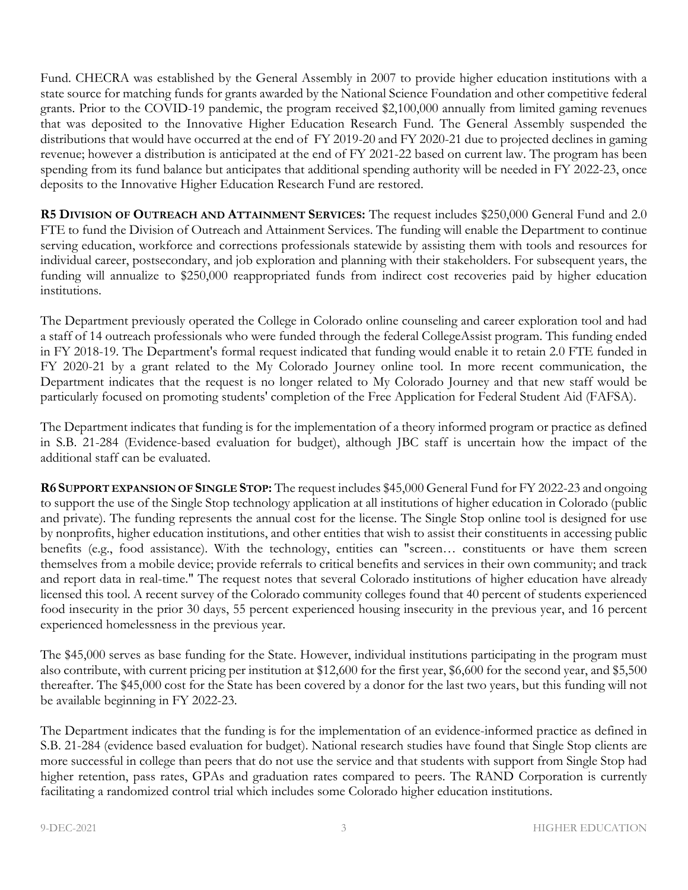Fund. CHECRA was established by the General Assembly in 2007 to provide higher education institutions with a state source for matching funds for grants awarded by the National Science Foundation and other competitive federal grants. Prior to the COVID-19 pandemic, the program received \$2,100,000 annually from limited gaming revenues that was deposited to the Innovative Higher Education Research Fund. The General Assembly suspended the distributions that would have occurred at the end of FY 2019-20 and FY 2020-21 due to projected declines in gaming revenue; however a distribution is anticipated at the end of FY 2021-22 based on current law. The program has been spending from its fund balance but anticipates that additional spending authority will be needed in FY 2022-23, once deposits to the Innovative Higher Education Research Fund are restored.

**R5 DIVISION OF OUTREACH AND ATTAINMENT SERVICES:** The request includes \$250,000 General Fund and 2.0 FTE to fund the Division of Outreach and Attainment Services. The funding will enable the Department to continue serving education, workforce and corrections professionals statewide by assisting them with tools and resources for individual career, postsecondary, and job exploration and planning with their stakeholders. For subsequent years, the funding will annualize to \$250,000 reappropriated funds from indirect cost recoveries paid by higher education institutions.

The Department previously operated the College in Colorado online counseling and career exploration tool and had a staff of 14 outreach professionals who were funded through the federal CollegeAssist program. This funding ended in FY 2018-19. The Department's formal request indicated that funding would enable it to retain 2.0 FTE funded in FY 2020-21 by a grant related to the My Colorado Journey online tool. In more recent communication, the Department indicates that the request is no longer related to My Colorado Journey and that new staff would be particularly focused on promoting students' completion of the Free Application for Federal Student Aid (FAFSA).

The Department indicates that funding is for the implementation of a theory informed program or practice as defined in S.B. 21-284 (Evidence-based evaluation for budget), although JBC staff is uncertain how the impact of the additional staff can be evaluated.

**R6 SUPPORT EXPANSION OF SINGLE STOP:** The request includes \$45,000 General Fund for FY 2022-23 and ongoing to support the use of the Single Stop technology application at all institutions of higher education in Colorado (public and private). The funding represents the annual cost for the license. The Single Stop online tool is designed for use by nonprofits, higher education institutions, and other entities that wish to assist their constituents in accessing public benefits (e.g., food assistance). With the technology, entities can "screen... constituents or have them screen themselves from a mobile device; provide referrals to critical benefits and services in their own community; and track and report data in real-time." The request notes that several Colorado institutions of higher education have already licensed this tool. A recent survey of the Colorado community colleges found that 40 percent of students experienced food insecurity in the prior 30 days, 55 percent experienced housing insecurity in the previous year, and 16 percent experienced homelessness in the previous year.

The \$45,000 serves as base funding for the State. However, individual institutions participating in the program must also contribute, with current pricing per institution at \$12,600 for the first year, \$6,600 for the second year, and \$5,500 thereafter. The \$45,000 cost for the State has been covered by a donor for the last two years, but this funding will not be available beginning in FY 2022-23.

The Department indicates that the funding is for the implementation of an evidence-informed practice as defined in S.B. 21-284 (evidence based evaluation for budget). National research studies have found that Single Stop clients are more successful in college than peers that do not use the service and that students with support from Single Stop had higher retention, pass rates, GPAs and graduation rates compared to peers. The RAND Corporation is currently facilitating a randomized control trial which includes some Colorado higher education institutions.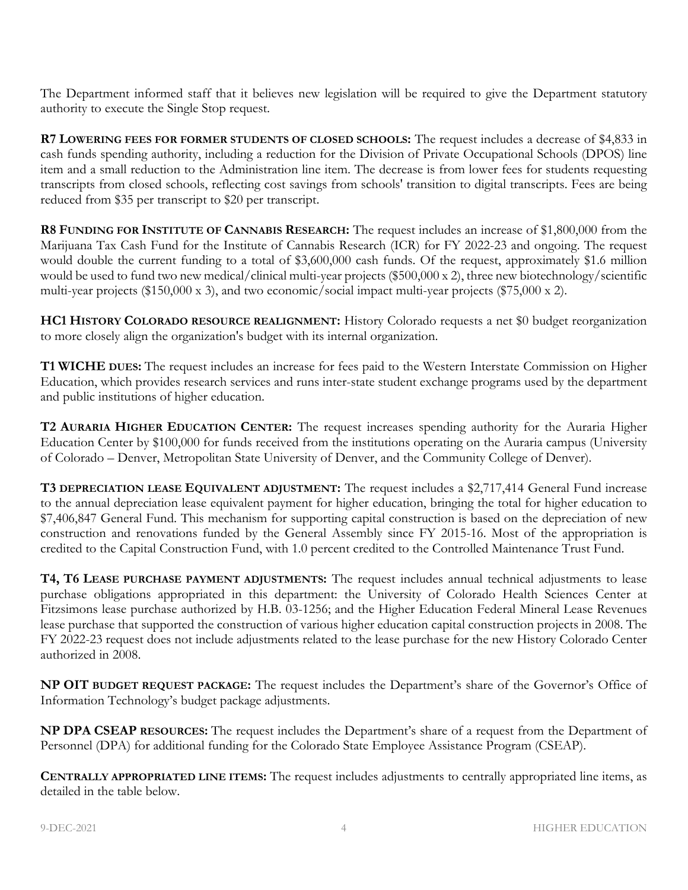The Department informed staff that it believes new legislation will be required to give the Department statutory authority to execute the Single Stop request.

**R7 LOWERING FEES FOR FORMER STUDENTS OF CLOSED SCHOOLS:** The request includes a decrease of \$4,833 in cash funds spending authority, including a reduction for the Division of Private Occupational Schools (DPOS) line item and a small reduction to the Administration line item. The decrease is from lower fees for students requesting transcripts from closed schools, reflecting cost savings from schools' transition to digital transcripts. Fees are being reduced from \$35 per transcript to \$20 per transcript.

**R8 FUNDING FOR INSTITUTE OF CANNABIS RESEARCH:** The request includes an increase of \$1,800,000 from the Marijuana Tax Cash Fund for the Institute of Cannabis Research (ICR) for FY 2022-23 and ongoing. The request would double the current funding to a total of \$3,600,000 cash funds. Of the request, approximately \$1.6 million would be used to fund two new medical/clinical multi-year projects (\$500,000 x 2), three new biotechnology/scientific multi-year projects (\$150,000 x 3), and two economic/social impact multi-year projects (\$75,000 x 2).

**HC1 HISTORY COLORADO RESOURCE REALIGNMENT:** History Colorado requests a net \$0 budget reorganization to more closely align the organization's budget with its internal organization.

**T1 WICHE DUES:** The request includes an increase for fees paid to the Western Interstate Commission on Higher Education, which provides research services and runs inter-state student exchange programs used by the department and public institutions of higher education.

**T2 AURARIA HIGHER EDUCATION CENTER:** The request increases spending authority for the Auraria Higher Education Center by \$100,000 for funds received from the institutions operating on the Auraria campus (University of Colorado – Denver, Metropolitan State University of Denver, and the Community College of Denver).

**T3 DEPRECIATION LEASE EQUIVALENT ADJUSTMENT:** The request includes a \$2,717,414 General Fund increase to the annual depreciation lease equivalent payment for higher education, bringing the total for higher education to \$7,406,847 General Fund. This mechanism for supporting capital construction is based on the depreciation of new construction and renovations funded by the General Assembly since FY 2015-16. Most of the appropriation is credited to the Capital Construction Fund, with 1.0 percent credited to the Controlled Maintenance Trust Fund.

**T4, T6 LEASE PURCHASE PAYMENT ADJUSTMENTS:** The request includes annual technical adjustments to lease purchase obligations appropriated in this department: the University of Colorado Health Sciences Center at Fitzsimons lease purchase authorized by H.B. 03-1256; and the Higher Education Federal Mineral Lease Revenues lease purchase that supported the construction of various higher education capital construction projects in 2008. The FY 2022-23 request does not include adjustments related to the lease purchase for the new History Colorado Center authorized in 2008.

**NP OIT BUDGET REQUEST PACKAGE:** The request includes the Department's share of the Governor's Office of Information Technology's budget package adjustments.

**NP DPA CSEAP RESOURCES:** The request includes the Department's share of a request from the Department of Personnel (DPA) for additional funding for the Colorado State Employee Assistance Program (CSEAP).

**CENTRALLY APPROPRIATED LINE ITEMS:** The request includes adjustments to centrally appropriated line items, as detailed in the table below.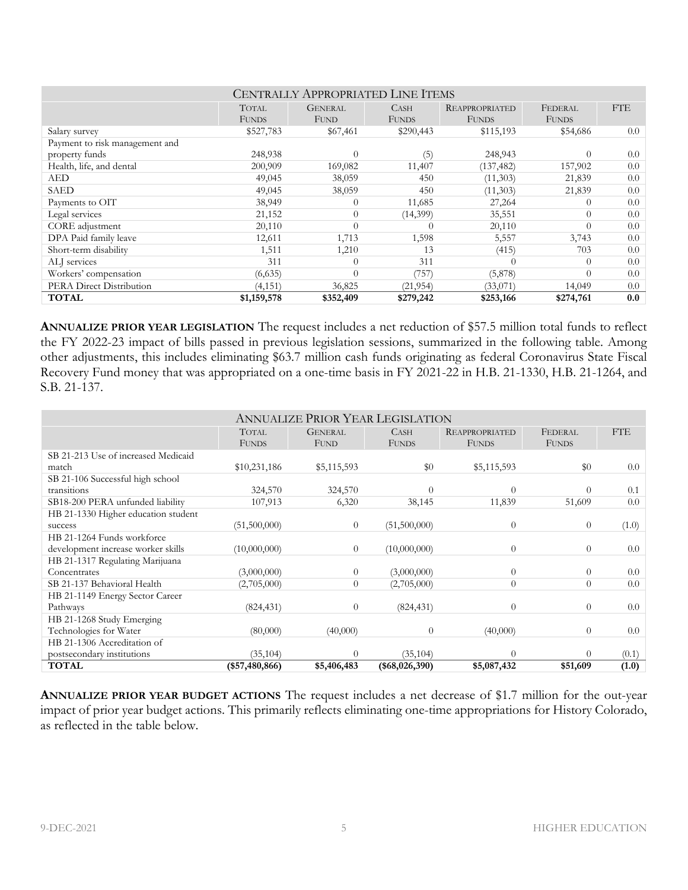| <b>CENTRALLY APPROPRIATED LINE ITEMS</b> |                              |                               |                      |                                       |                         |            |
|------------------------------------------|------------------------------|-------------------------------|----------------------|---------------------------------------|-------------------------|------------|
|                                          | <b>TOTAL</b><br><b>FUNDS</b> | <b>GENERAL</b><br><b>FUND</b> | CASH<br><b>FUNDS</b> | <b>REAPPROPRIATED</b><br><b>FUNDS</b> | FEDERAL<br><b>FUNDS</b> | <b>FTE</b> |
| Salary survey                            | \$527,783                    | \$67,461                      | \$290,443            | \$115,193                             | \$54,686                | 0.0        |
| Payment to risk management and           |                              |                               |                      |                                       |                         |            |
| property funds                           | 248,938                      | $\Omega$                      | (5)                  | 248,943                               | $\Omega$                | 0.0        |
| Health, life, and dental                 | 200,909                      | 169,082                       | 11,407               | (137, 482)                            | 157,902                 | 0.0        |
| AED                                      | 49,045                       | 38,059                        | 450                  | (11,303)                              | 21,839                  | 0.0        |
| SAED                                     | 49,045                       | 38,059                        | 450                  | (11,303)                              | 21,839                  | 0.0        |
| Payments to OIT                          | 38,949                       | $\left($                      | 11,685               | 27,264                                | $\left($                | 0.0        |
| Legal services                           | 21,152                       | $\overline{0}$                | (14,399)             | 35,551                                | $\Omega$                | 0.0        |
| CORE adjustment                          | 20,110                       | $\Omega$                      | 0                    | 20,110                                | $\theta$                | 0.0        |
| DPA Paid family leave                    | 12,611                       | 1,713                         | 1,598                | 5,557                                 | 3,743                   | 0.0        |
| Short-term disability                    | 1,511                        | 1,210                         | 13                   | (415)                                 | 703                     | 0.0        |
| ALI services                             | 311                          | $\Omega$                      | 311                  | $\Omega$                              | $\Omega$                | 0.0        |
| Workers' compensation                    | (6,635)                      | $\Omega$                      | (757)                | (5,878)                               | $\Omega$                | 0.0        |
| PERA Direct Distribution                 | (4, 151)                     | 36,825                        | (21, 954)            | (33,071)                              | 14,049                  | 0.0        |
| <b>TOTAL</b>                             | \$1,159,578                  | \$352,409                     | \$279,242            | \$253,166                             | \$274,761               | 0.0        |

**ANNUALIZE PRIOR YEAR LEGISLATION** The request includes a net reduction of \$57.5 million total funds to reflect the FY 2022-23 impact of bills passed in previous legislation sessions, summarized in the following table. Among other adjustments, this includes eliminating \$63.7 million cash funds originating as federal Coronavirus State Fiscal Recovery Fund money that was appropriated on a one-time basis in FY 2021-22 in H.B. 21-1330, H.B. 21-1264, and S.B. 21-137.

| <b>ANNUALIZE PRIOR YEAR LEGISLATION</b> |                 |                |                 |                       |                |            |
|-----------------------------------------|-----------------|----------------|-----------------|-----------------------|----------------|------------|
|                                         | <b>TOTAL</b>    | <b>GENERAL</b> | <b>CASH</b>     | <b>REAPPROPRIATED</b> | FEDERAL        | <b>FTE</b> |
|                                         | <b>FUNDS</b>    | FUND           | <b>FUNDS</b>    | <b>FUNDS</b>          | <b>FUNDS</b>   |            |
| SB 21-213 Use of increased Medicaid     |                 |                |                 |                       |                |            |
| match                                   | \$10,231,186    | \$5,115,593    | \$0             | \$5,115,593           | \$0            | 0.0        |
| SB 21-106 Successful high school        |                 |                |                 |                       |                |            |
| transitions                             | 324,570         | 324,570        | 0               | $\Omega$              | $\Omega$       | 0.1        |
| SB18-200 PERA unfunded liability        | 107,913         | 6,320          | 38,145          | 11,839                | 51,609         | 0.0        |
| HB 21-1330 Higher education student     |                 |                |                 |                       |                |            |
| success                                 | (51,500,000)    | $\overline{0}$ | (51,500,000)    | $\theta$              | $\theta$       | (1.0)      |
| HB 21-1264 Funds workforce              |                 |                |                 |                       |                |            |
| development increase worker skills      | (10,000,000)    | $\overline{0}$ | (10,000,000)    | $\theta$              | $\theta$       | 0.0        |
| HB 21-1317 Regulating Marijuana         |                 |                |                 |                       |                |            |
| Concentrates                            | (3,000,000)     | $\overline{0}$ | (3,000,000)     | $\overline{0}$        | $\theta$       | 0.0        |
| SB 21-137 Behavioral Health             | (2,705,000)     | $\overline{0}$ | (2,705,000)     | $\theta$              | $\overline{0}$ | 0.0        |
| HB 21-1149 Energy Sector Career         |                 |                |                 |                       |                |            |
| Pathways                                | (824, 431)      | $\theta$       | (824, 431)      | $\theta$              | $\Omega$       | 0.0        |
| HB 21-1268 Study Emerging               |                 |                |                 |                       |                |            |
| Technologies for Water                  | (80,000)        | (40,000)       | $\overline{0}$  | (40,000)              | $\theta$       | 0.0        |
| HB 21-1306 Accreditation of             |                 |                |                 |                       |                |            |
| postsecondary institutions              | (35, 104)       | $\Omega$       | (35, 104)       | $\theta$              | $\Omega$       | (0.1)      |
| <b>TOTAL</b>                            | $(*57,480,866)$ | \$5,406,483    | $(*68,026,390)$ | \$5,087,432           | \$51,609       | (1.0)      |

**ANNUALIZE PRIOR YEAR BUDGET ACTIONS** The request includes a net decrease of \$1.7 million for the out-year impact of prior year budget actions. This primarily reflects eliminating one-time appropriations for History Colorado, as reflected in the table below.